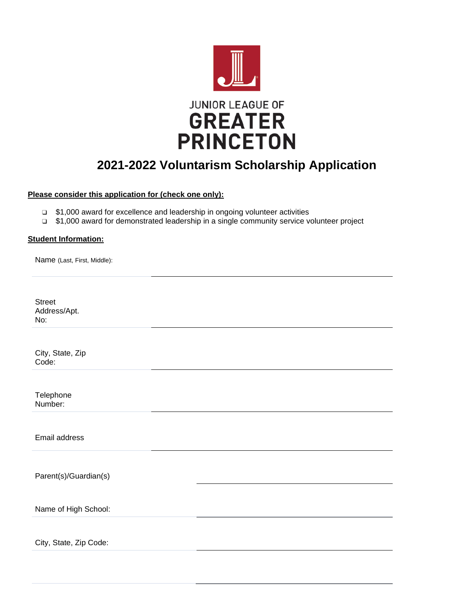

# **2021-2022 Voluntarism Scholarship Application**

## **Please consider this application for (check one only):**

- ❑ \$1,000 award for excellence and leadership in ongoing volunteer activities
- ❑ \$1,000 award for demonstrated leadership in a single community service volunteer project

## **Student Information:**

Name (Last, First, Middle):

Street Address/Apt. No:

City, State, Zip Code:

**Telephone** Number:

Email address

Parent(s)/Guardian(s)

Name of High School:

City, State, Zip Code: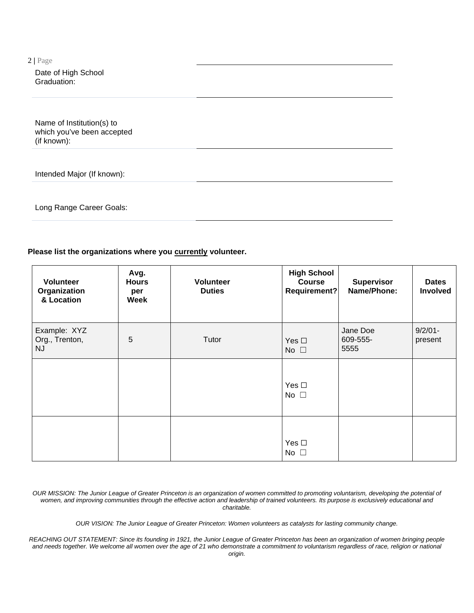Date of High School Graduation:

Name of Institution(s) to which you've been accepted (if known):

Intended Major (If known):

Long Range Career Goals:

## **Please list the organizations where you currently volunteer.**

| <b>Volunteer</b><br>Organization<br>& Location | Avg.<br><b>Hours</b><br>per<br>Week | <b>Volunteer</b><br><b>Duties</b> | <b>High School</b><br><b>Course</b><br>Requirement? | <b>Supervisor</b><br>Name/Phone: | <b>Dates</b><br>Involved |
|------------------------------------------------|-------------------------------------|-----------------------------------|-----------------------------------------------------|----------------------------------|--------------------------|
| Example: XYZ<br>Org., Trenton,<br><b>NJ</b>    | 5                                   | Tutor                             | Yes $\square$<br>No $\square$                       | Jane Doe<br>609-555-<br>5555     | $9/2/01 -$<br>present    |
|                                                |                                     |                                   | Yes $\square$<br>No $\square$                       |                                  |                          |
|                                                |                                     |                                   | Yes $\square$<br>No $\square$                       |                                  |                          |

OUR MISSION: The Junior League of Greater Princeton is an organization of women committed to promoting voluntarism, developing the potential of women, and improving communities through the effective action and leadership of trained volunteers. Its purpose is exclusively educational and *charitable.*

*OUR VISION: The Junior League of Greater Princeton: Women volunteers as catalysts for lasting community change.*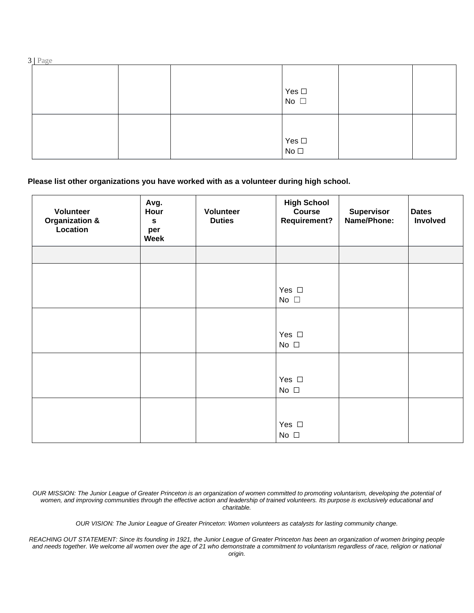|--|

|  | Yes $\Box$<br>No $\Box$ |  |
|--|-------------------------|--|
|  | $Yes \Box$<br>No $\Box$ |  |

# **Please list other organizations you have worked with as a volunteer during high school.**

| Volunteer<br>Organization &<br>Location | Avg.<br>Hour<br>$\mathbf s$<br>per<br>Week | Volunteer<br><b>Duties</b> | <b>High School</b><br><b>Course</b><br><b>Requirement?</b> | <b>Supervisor</b><br>Name/Phone: | <b>Dates</b><br>Involved |
|-----------------------------------------|--------------------------------------------|----------------------------|------------------------------------------------------------|----------------------------------|--------------------------|
|                                         |                                            |                            |                                                            |                                  |                          |
|                                         |                                            |                            |                                                            |                                  |                          |
|                                         |                                            |                            | Yes $\square$<br>No $\square$                              |                                  |                          |
|                                         |                                            |                            |                                                            |                                  |                          |
|                                         |                                            |                            | Yes $\square$<br>No $\square$                              |                                  |                          |
|                                         |                                            |                            |                                                            |                                  |                          |
|                                         |                                            |                            | Yes $\Box$<br>No $\square$                                 |                                  |                          |
|                                         |                                            |                            |                                                            |                                  |                          |
|                                         |                                            |                            | Yes $\square$<br>No $\square$                              |                                  |                          |

OUR MISSION: The Junior League of Greater Princeton is an organization of women committed to promoting voluntarism, developing the potential of women, and improving communities through the effective action and leadership of trained volunteers. Its purpose is exclusively educational and *charitable.*

*OUR VISION: The Junior League of Greater Princeton: Women volunteers as catalysts for lasting community change.*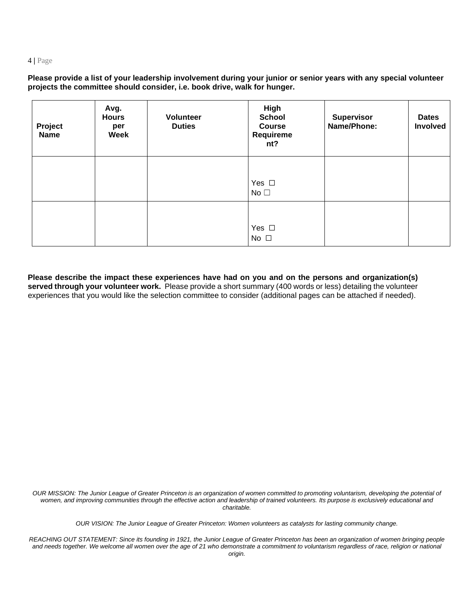Please provide a list of your leadership involvement during your junior or senior years with any special volunteer **projects the committee should consider, i.e. book drive, walk for hunger.**

| Project<br><b>Name</b> | Avg.<br><b>Hours</b><br>per<br><b>Week</b> | <b>Volunteer</b><br><b>Duties</b> | High<br><b>School</b><br><b>Course</b><br>Requireme<br>nt? | <b>Supervisor</b><br>Name/Phone: | <b>Dates</b><br><b>Involved</b> |
|------------------------|--------------------------------------------|-----------------------------------|------------------------------------------------------------|----------------------------------|---------------------------------|
|                        |                                            |                                   | Yes $\square$<br>No $\square$                              |                                  |                                 |
|                        |                                            |                                   | Yes $\square$<br>No $\square$                              |                                  |                                 |

**Please describe the impact these experiences have had on you and on the persons and organization(s) served through your volunteer work.** Please provide a short summary (400 words or less) detailing the volunteer experiences that you would like the selection committee to consider (additional pages can be attached if needed).

OUR MISSION: The Junior League of Greater Princeton is an organization of women committed to promoting voluntarism, developing the potential of women, and improving communities through the effective action and leadership of trained volunteers. Its purpose is exclusively educational and *charitable.*

*OUR VISION: The Junior League of Greater Princeton: Women volunteers as catalysts for lasting community change.*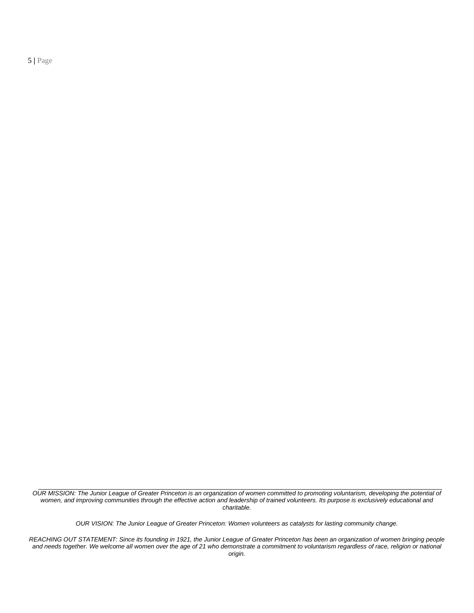OUR MISSION: The Junior League of Greater Princeton is an organization of women committed to promoting voluntarism, developing the potential of women, and improving communities through the effective action and leadership of trained volunteers. Its purpose is exclusively educational and *charitable.*

*OUR VISION: The Junior League of Greater Princeton: Women volunteers as catalysts for lasting community change.*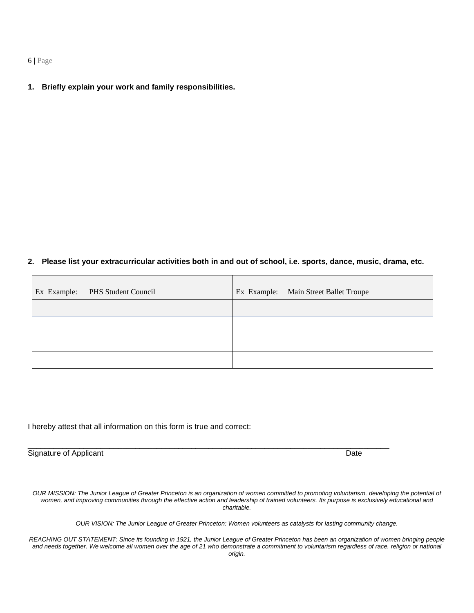**1. Briefly explain your work and family responsibilities.**

# 2. Please list your extracurricular activities both in and out of school, i.e. sports, dance, music, drama, etc.

| Ex Example: PHS Student Council | Ex Example: Main Street Ballet Troupe |
|---------------------------------|---------------------------------------|
|                                 |                                       |
|                                 |                                       |
|                                 |                                       |
|                                 |                                       |

I hereby attest that all information on this form is true and correct:

Signature of Applicant Date Controller and Controller and Controller and Date Date Date

OUR MISSION: The Junior League of Greater Princeton is an organization of women committed to promoting voluntarism, developing the potential of women, and improving communities through the effective action and leadership of trained volunteers. Its purpose is exclusively educational and *charitable.*

\_\_\_\_\_\_\_\_\_\_\_\_\_\_\_\_\_\_\_\_\_\_\_\_\_\_\_\_\_\_\_\_\_\_\_\_\_\_\_\_\_\_\_\_\_\_\_\_\_\_\_\_\_\_\_\_\_\_\_\_\_\_\_\_\_\_\_\_\_\_\_\_\_\_\_\_\_\_\_\_\_\_\_\_

*OUR VISION: The Junior League of Greater Princeton: Women volunteers as catalysts for lasting community change.*